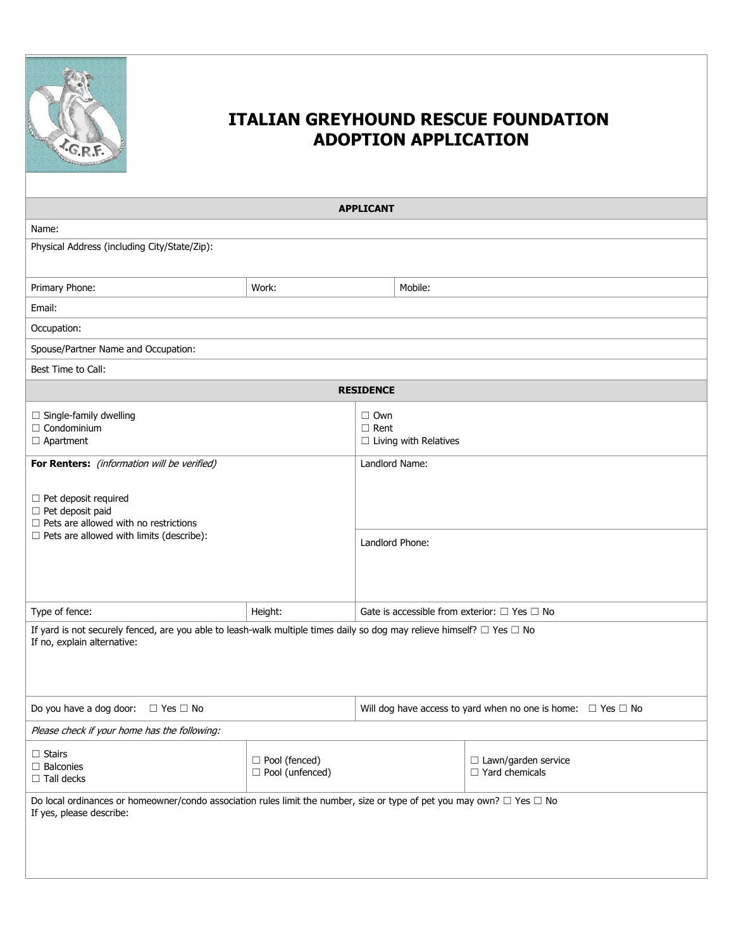

| <b>APPLICANT</b>                                                                                                                                                |                                      |                                                                        |         |                                                        |  |  |
|-----------------------------------------------------------------------------------------------------------------------------------------------------------------|--------------------------------------|------------------------------------------------------------------------|---------|--------------------------------------------------------|--|--|
| Name:                                                                                                                                                           |                                      |                                                                        |         |                                                        |  |  |
| Physical Address (including City/State/Zip):                                                                                                                    |                                      |                                                                        |         |                                                        |  |  |
| Primary Phone:                                                                                                                                                  | Work:                                |                                                                        | Mobile: |                                                        |  |  |
| Email:                                                                                                                                                          |                                      |                                                                        |         |                                                        |  |  |
| Occupation:                                                                                                                                                     |                                      |                                                                        |         |                                                        |  |  |
| Spouse/Partner Name and Occupation:                                                                                                                             |                                      |                                                                        |         |                                                        |  |  |
| Best Time to Call:                                                                                                                                              |                                      |                                                                        |         |                                                        |  |  |
|                                                                                                                                                                 |                                      | <b>RESIDENCE</b>                                                       |         |                                                        |  |  |
| $\Box$ Single-family dwelling<br>$\Box$ Condominium<br>$\Box$ Apartment                                                                                         |                                      | $\Box$ Own<br>$\Box$ Rent<br>$\Box$ Living with Relatives              |         |                                                        |  |  |
| For Renters: (information will be verified)                                                                                                                     |                                      | Landlord Name:                                                         |         |                                                        |  |  |
| $\Box$ Pet deposit required<br>$\Box$ Pet deposit paid<br>$\Box$ Pets are allowed with no restrictions<br>$\Box$ Pets are allowed with limits (describe):       |                                      | Landlord Phone:                                                        |         |                                                        |  |  |
| Type of fence:                                                                                                                                                  | Height:                              |                                                                        |         | Gate is accessible from exterior: $\Box$ Yes $\Box$ No |  |  |
| If yard is not securely fenced, are you able to leash-walk multiple times daily so dog may relieve himself? $\Box$ Yes $\Box$ No<br>If no, explain alternative: |                                      |                                                                        |         |                                                        |  |  |
| Do you have a dog door: $\Box$ Yes $\Box$ No                                                                                                                    |                                      | Will dog have access to yard when no one is home: $\Box$ Yes $\Box$ No |         |                                                        |  |  |
| Please check if your home has the following:                                                                                                                    |                                      |                                                                        |         |                                                        |  |  |
| $\Box$ Stairs<br>$\Box$ Balconies<br>$\Box$ Tall decks                                                                                                          | □ Pool (fenced)<br>□ Pool (unfenced) |                                                                        |         | □ Lawn/garden service<br>$\Box$ Yard chemicals         |  |  |
| Do local ordinances or homeowner/condo association rules limit the number, size or type of pet you may own? $\Box$ Yes $\Box$ No<br>If yes, please describe:    |                                      |                                                                        |         |                                                        |  |  |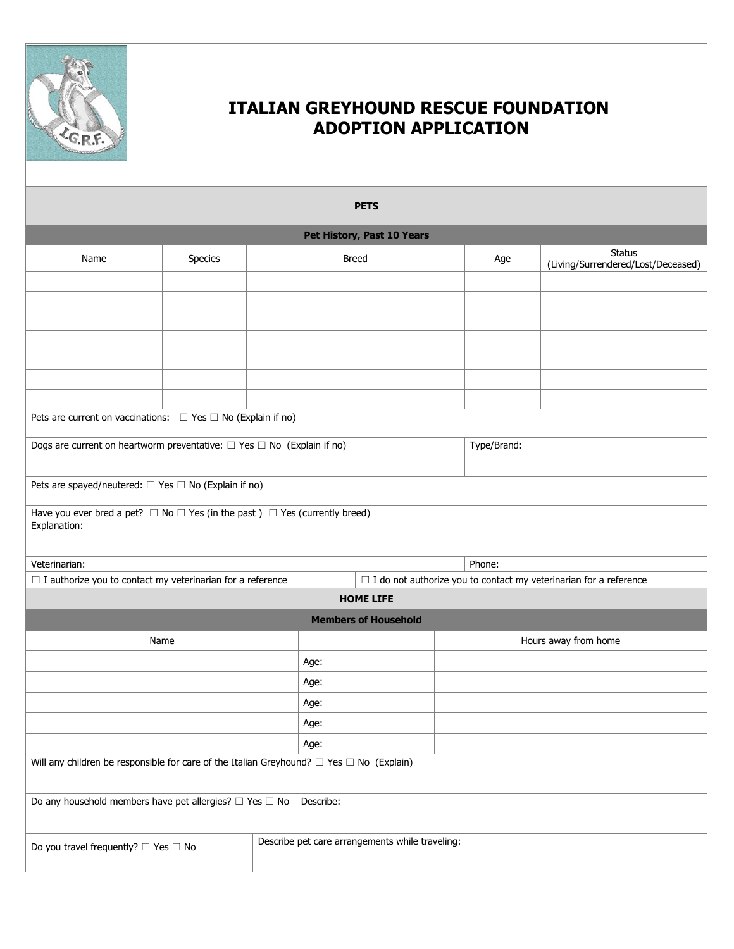

| <b>PETS</b>                                                                                                |         |                                                 |                             |                      |                                                                          |  |  |
|------------------------------------------------------------------------------------------------------------|---------|-------------------------------------------------|-----------------------------|----------------------|--------------------------------------------------------------------------|--|--|
|                                                                                                            |         |                                                 | Pet History, Past 10 Years  |                      |                                                                          |  |  |
| Name                                                                                                       | Species | <b>Breed</b>                                    |                             | Age                  | <b>Status</b><br>(Living/Surrendered/Lost/Deceased)                      |  |  |
|                                                                                                            |         |                                                 |                             |                      |                                                                          |  |  |
|                                                                                                            |         |                                                 |                             |                      |                                                                          |  |  |
|                                                                                                            |         |                                                 |                             |                      |                                                                          |  |  |
|                                                                                                            |         |                                                 |                             |                      |                                                                          |  |  |
|                                                                                                            |         |                                                 |                             |                      |                                                                          |  |  |
|                                                                                                            |         |                                                 |                             |                      |                                                                          |  |  |
| Pets are current on vaccinations: $\Box$ Yes $\Box$ No (Explain if no)                                     |         |                                                 |                             |                      |                                                                          |  |  |
| Dogs are current on heartworm preventative: $\Box$ Yes $\Box$ No (Explain if no)                           |         |                                                 | Type/Brand:                 |                      |                                                                          |  |  |
| Pets are spayed/neutered: $\Box$ Yes $\Box$ No (Explain if no)                                             |         |                                                 |                             |                      |                                                                          |  |  |
| Have you ever bred a pet? $\Box$ No $\Box$ Yes (in the past) $\Box$ Yes (currently breed)<br>Explanation:  |         |                                                 |                             |                      |                                                                          |  |  |
| Veterinarian:                                                                                              |         |                                                 |                             | Phone:               |                                                                          |  |  |
| $\Box$ I authorize you to contact my veterinarian for a reference                                          |         |                                                 |                             |                      | $\Box$ I do not authorize you to contact my veterinarian for a reference |  |  |
|                                                                                                            |         |                                                 | <b>HOME LIFE</b>            |                      |                                                                          |  |  |
|                                                                                                            |         |                                                 | <b>Members of Household</b> |                      |                                                                          |  |  |
| Name                                                                                                       |         |                                                 |                             | Hours away from home |                                                                          |  |  |
|                                                                                                            |         | Age:                                            |                             |                      |                                                                          |  |  |
|                                                                                                            |         | Age:                                            |                             |                      |                                                                          |  |  |
|                                                                                                            |         | Age:                                            |                             |                      |                                                                          |  |  |
|                                                                                                            |         | Age:                                            |                             |                      |                                                                          |  |  |
| Age:<br>Will any children be responsible for care of the Italian Greyhound? $\Box$ Yes $\Box$ No (Explain) |         |                                                 |                             |                      |                                                                          |  |  |
|                                                                                                            |         |                                                 |                             |                      |                                                                          |  |  |
| Do any household members have pet allergies? $\Box$ Yes $\Box$ No<br>Describe:                             |         |                                                 |                             |                      |                                                                          |  |  |
| Do you travel frequently? $\square$ Yes $\square$ No                                                       |         | Describe pet care arrangements while traveling: |                             |                      |                                                                          |  |  |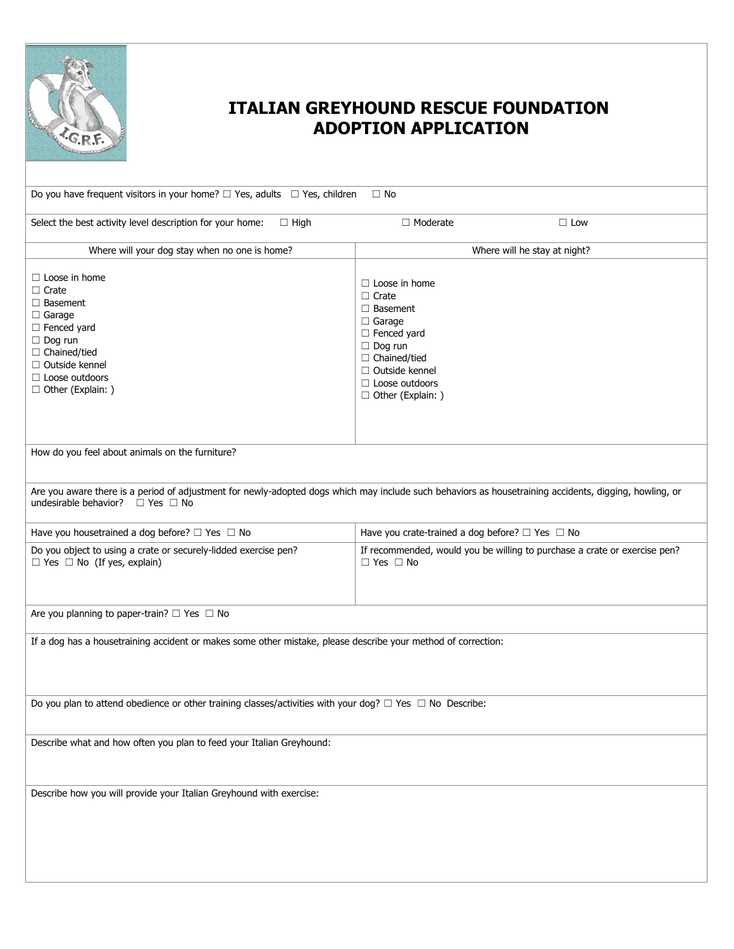

| Do you have frequent visitors in your home? $\Box$ Yes, adults $\Box$ Yes, children<br>$\Box$ No                                                                                                            |                                                                                                                                                                                                                  |  |  |  |  |
|-------------------------------------------------------------------------------------------------------------------------------------------------------------------------------------------------------------|------------------------------------------------------------------------------------------------------------------------------------------------------------------------------------------------------------------|--|--|--|--|
| Select the best activity level description for your home:<br>$\Box$ High                                                                                                                                    | $\Box$ Moderate<br>$\Box$ Low                                                                                                                                                                                    |  |  |  |  |
| Where will your dog stay when no one is home?                                                                                                                                                               | Where will he stay at night?                                                                                                                                                                                     |  |  |  |  |
| $\Box$ Loose in home<br>$\Box$ Crate<br>$\Box$ Basement<br>$\Box$ Garage<br>$\Box$ Fenced yard<br>$\Box$ Dog run<br>$\Box$ Chained/tied<br>□ Outside kennel<br>$\Box$ Loose outdoors<br>□ Other (Explain: ) | $\Box$ Loose in home<br>$\Box$ Crate<br>$\Box$ Basement<br>$\Box$ Garage<br>$\Box$ Fenced yard<br>$\Box$ Dog run<br>$\Box$ Chained/tied<br>$\Box$ Outside kennel<br>$\Box$ Loose outdoors<br>□ Other (Explain: ) |  |  |  |  |
| How do you feel about animals on the furniture?                                                                                                                                                             |                                                                                                                                                                                                                  |  |  |  |  |
| undesirable behavior? $\Box$ Yes $\Box$ No                                                                                                                                                                  | Are you aware there is a period of adjustment for newly-adopted dogs which may include such behaviors as housetraining accidents, digging, howling, or                                                           |  |  |  |  |
| Have you housetrained a dog before? $\Box$ Yes $\Box$ No                                                                                                                                                    | Have you crate-trained a dog before? $\Box$ Yes $\Box$ No                                                                                                                                                        |  |  |  |  |
| Do you object to using a crate or securely-lidded exercise pen?<br>$\Box$ Yes $\Box$ No (If yes, explain)                                                                                                   | If recommended, would you be willing to purchase a crate or exercise pen?<br>$\Box$ Yes $\Box$ No                                                                                                                |  |  |  |  |
| Are you planning to paper-train? $\Box$ Yes $\Box$ No                                                                                                                                                       |                                                                                                                                                                                                                  |  |  |  |  |
| If a dog has a housetraining accident or makes some other mistake, please describe your method of correction:                                                                                               |                                                                                                                                                                                                                  |  |  |  |  |
| Do you plan to attend obedience or other training classes/activities with your dog? $\Box$ Yes $\Box$ No Describe:                                                                                          |                                                                                                                                                                                                                  |  |  |  |  |
| Describe what and how often you plan to feed your Italian Greyhound:                                                                                                                                        |                                                                                                                                                                                                                  |  |  |  |  |
| Describe how you will provide your Italian Greyhound with exercise:                                                                                                                                         |                                                                                                                                                                                                                  |  |  |  |  |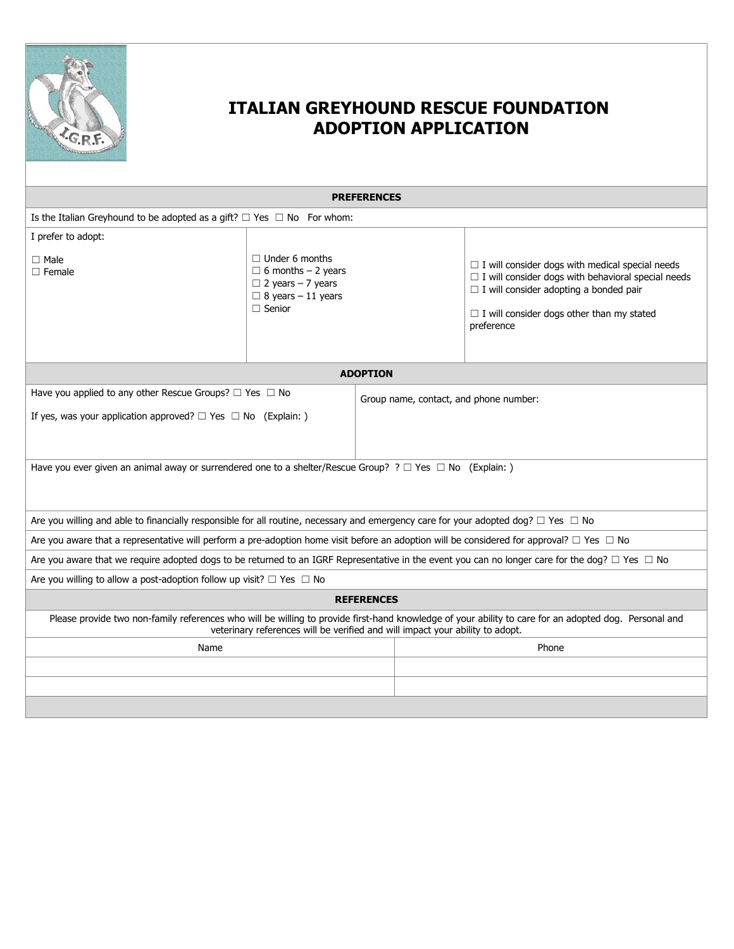

| <b>PREFERENCES</b>                                                                                                                                                                                                                     |                                                                                                                              |  |                                                                                                                                                                                                                                        |  |  |
|----------------------------------------------------------------------------------------------------------------------------------------------------------------------------------------------------------------------------------------|------------------------------------------------------------------------------------------------------------------------------|--|----------------------------------------------------------------------------------------------------------------------------------------------------------------------------------------------------------------------------------------|--|--|
| Is the Italian Greyhound to be adopted as a gift? $\Box$ Yes $\Box$ No For whom:                                                                                                                                                       |                                                                                                                              |  |                                                                                                                                                                                                                                        |  |  |
| I prefer to adopt:                                                                                                                                                                                                                     |                                                                                                                              |  |                                                                                                                                                                                                                                        |  |  |
| $\Box$ Male<br>$\Box$ Female                                                                                                                                                                                                           | $\Box$ Under 6 months<br>$\Box$ 6 months - 2 years<br>$\Box$ 2 years - 7 years<br>$\Box$ 8 years - 11 years<br>$\Box$ Senior |  | $\Box$ I will consider dogs with medical special needs<br>$\Box$ I will consider dogs with behavioral special needs<br>$\Box$ I will consider adopting a bonded pair<br>$\Box$ I will consider dogs other than my stated<br>preference |  |  |
| <b>ADOPTION</b>                                                                                                                                                                                                                        |                                                                                                                              |  |                                                                                                                                                                                                                                        |  |  |
| Have you applied to any other Rescue Groups? $\Box$ Yes $\Box$ No                                                                                                                                                                      |                                                                                                                              |  | Group name, contact, and phone number:                                                                                                                                                                                                 |  |  |
| If yes, was your application approved? $\Box$ Yes $\Box$ No (Explain: )                                                                                                                                                                |                                                                                                                              |  |                                                                                                                                                                                                                                        |  |  |
| Have you ever given an animal away or surrendered one to a shelter/Rescue Group? ? $\Box$ Yes $\Box$ No (Explain: )                                                                                                                    |                                                                                                                              |  |                                                                                                                                                                                                                                        |  |  |
| Are you willing and able to financially responsible for all routine, necessary and emergency care for your adopted dog? $\Box$ Yes $\Box$ No                                                                                           |                                                                                                                              |  |                                                                                                                                                                                                                                        |  |  |
| Are you aware that a representative will perform a pre-adoption home visit before an adoption will be considered for approval? $\Box$ Yes $\Box$ No                                                                                    |                                                                                                                              |  |                                                                                                                                                                                                                                        |  |  |
| Are you aware that we require adopted dogs to be returned to an IGRF Representative in the event you can no longer care for the dog? $\Box$ Yes $\Box$ No                                                                              |                                                                                                                              |  |                                                                                                                                                                                                                                        |  |  |
| Are you willing to allow a post-adoption follow up visit? $\Box$ Yes $\Box$ No                                                                                                                                                         |                                                                                                                              |  |                                                                                                                                                                                                                                        |  |  |
| <b>REFERENCES</b>                                                                                                                                                                                                                      |                                                                                                                              |  |                                                                                                                                                                                                                                        |  |  |
| Please provide two non-family references who will be willing to provide first-hand knowledge of your ability to care for an adopted dog. Personal and<br>veterinary references will be verified and will impact your ability to adopt. |                                                                                                                              |  |                                                                                                                                                                                                                                        |  |  |
| Name                                                                                                                                                                                                                                   |                                                                                                                              |  | Phone                                                                                                                                                                                                                                  |  |  |
|                                                                                                                                                                                                                                        |                                                                                                                              |  |                                                                                                                                                                                                                                        |  |  |
|                                                                                                                                                                                                                                        |                                                                                                                              |  |                                                                                                                                                                                                                                        |  |  |
|                                                                                                                                                                                                                                        |                                                                                                                              |  |                                                                                                                                                                                                                                        |  |  |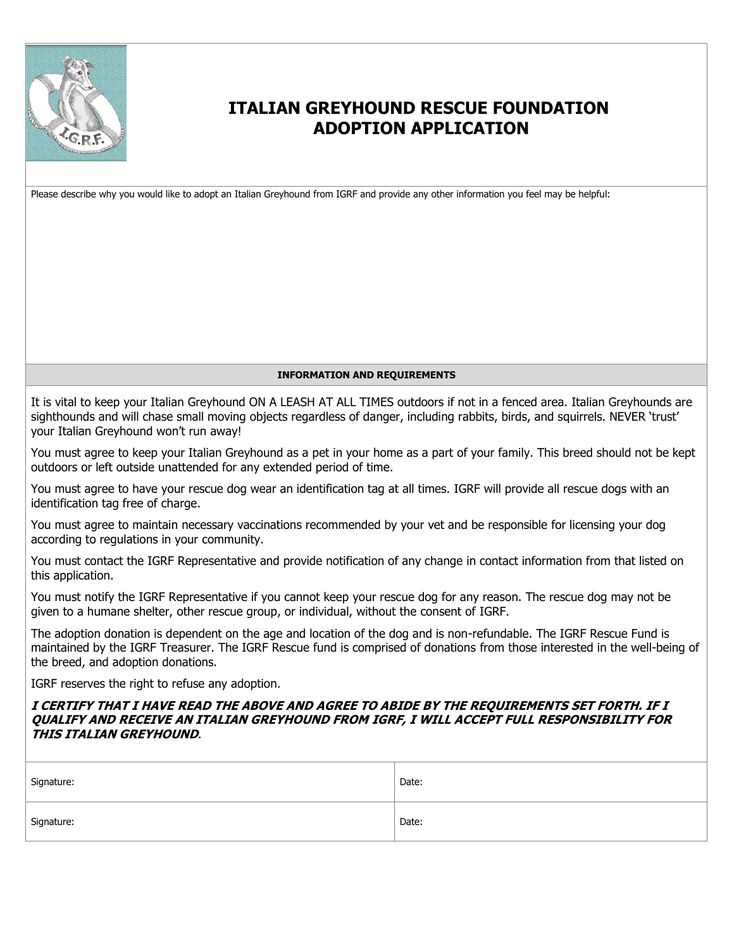

Please describe why you would like to adopt an Italian Greyhound from IGRF and provide any other information you feel may be helpful:

#### **INFORMATION AND REQUIREMENTS**

It is vital to keep your Italian Greyhound ON A LEASH AT ALL TIMES outdoors if not in a fenced area. Italian Greyhounds are sighthounds and will chase small moving objects regardless of danger, including rabbits, birds, and squirrels. NEVER 'trust' your Italian Greyhound won't run away!

You must agree to keep your Italian Greyhound as a pet in your home as a part of your family. This breed should not be kept outdoors or left outside unattended for any extended period of time.

You must agree to have your rescue dog wear an identification tag at all times. IGRF will provide all rescue dogs with an identification tag free of charge.

You must agree to maintain necessary vaccinations recommended by your vet and be responsible for licensing your dog according to regulations in your community.

You must contact the IGRF Representative and provide notification of any change in contact information from that listed on this application.

You must notify the IGRF Representative if you cannot keep your rescue dog for any reason. The rescue dog may not be given to a humane shelter, other rescue group, or individual, without the consent of IGRF.

The adoption donation is dependent on the age and location of the dog and is non-refundable. The IGRF Rescue Fund is maintained by the IGRF Treasurer. The IGRF Rescue fund is comprised of donations from those interested in the well-being of the breed, and adoption donations.

IGRF reserves the right to refuse any adoption.

#### **I CERTIFY THAT I HAVE READ THE ABOVE AND AGREE TO ABIDE BY THE REQUIREMENTS SET FORTH. IF I QUALIFY AND RECEIVE AN ITALIAN GREYHOUND FROM IGRF, I WILL ACCEPT FULL RESPONSIBILITY FOR THIS ITALIAN GREYHOUND**.

| Signature: | Date: |
|------------|-------|
| Signature: | Date: |